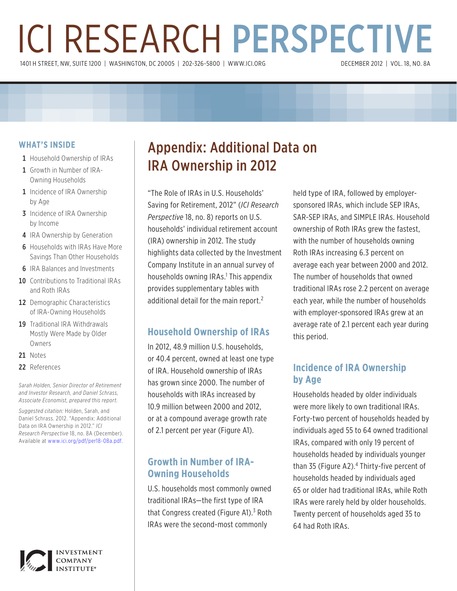# ICI RESEARCH PERSPECTIVE 1401 H STREET, NW, SUITE 1200 | WASHINGTON, DC 20005 | 202-326-5800 | WWW.ICI.ORG

#### **WHAT'S INSIDE**

- 1 Household Ownership of IRAs
- 1 Growth in Number of IRA-Owning Households
- 1 Incidence of IRA Ownership by Age
- **3** Incidence of IRA Ownership by Income
- 4 IRA Ownership by Generation
- **6** Households with IRAs Have More Savings Than Other Households
- **6** IRA Balances and Investments
- 10 Contributions to Traditional IRAs and Roth IRAs
- 12 Demographic Characteristics of IRA-Owning Households
- 19 Traditional IRA Withdrawals Mostly Were Made by Older Owners
- 21 Notes
- 22 References

*Sarah Holden, Senior Director of Retirement and Investor Research, and Daniel Schrass, Associate Economist, prepared this report.*

*Suggested citation:* Holden, Sarah, and Daniel Schrass. 2012. "Appendix: Additional Data on IRA Ownership in 2012." *ICI Research Perspective* 18, no. 8A (December). Available at www.ici.org/pdf/per18-08a.pdf.



## Appendix: Additional Data on IRA Ownership in 2012

"The Role of IRAs in U.S. Households' Saving for Retirement, 2012" (*ICI Research Perspective* 18, no. 8) reports on U.S. households' individual retirement account (IRA) ownership in 2012. The study highlights data collected by the Investment Company Institute in an annual survey of households owning IRAs.<sup>1</sup> This appendix provides supplementary tables with additional detail for the main report.<sup>2</sup>

## **Household Ownership of IRAs**

In 2012, 48.9 million U.S. households, or 40.4 percent, owned at least one type of IRA. Household ownership of IRAs has grown since 2000. The number of households with IRAs increased by 10.9 million between 2000 and 2012, or at a compound average growth rate of 2.1 percent per year (Figure A1).

## **Growth in Number of IRA-Owning Households**

U.S. households most commonly owned traditional IRAs—the first type of IRA that Congress created (Figure A1).<sup>3</sup> Roth IRAs were the second-most commonly

held type of IRA, followed by employersponsored IRAs, which include SEP IRAs, SAR-SEP IRAs, and SIMPLE IRAs. Household ownership of Roth IRAs grew the fastest, with the number of households owning Roth IRAs increasing 6.3 percent on average each year between 2000 and 2012. The number of households that owned traditional IRAs rose 2.2 percent on average each year, while the number of households with employer-sponsored IRAs grew at an average rate of 2.1 percent each year during this period.

## **Incidence of IRA Ownership by Age**

Households headed by older individuals were more likely to own traditional IRAs. Forty-two percent of households headed by individuals aged 55 to 64 owned traditional IRAs, compared with only 19 percent of households headed by individuals younger than 35 (Figure A2).<sup>4</sup> Thirty-five percent of households headed by individuals aged 65 or older had traditional IRAs, while Roth IRAs were rarely held by older households. Twenty percent of households aged 35 to 64 had Roth IRAs.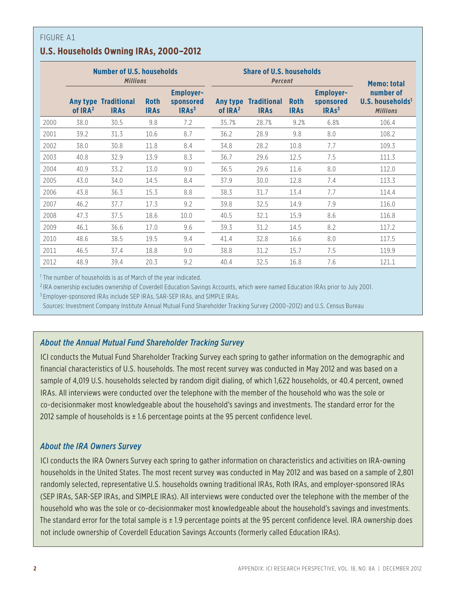## **U.S. Households Owning IRAs, 2000–2012**

|      | <b>Number of U.S. households</b><br><b>Millions</b> |                                            |                            |                                                    |                                 | <b>Share of U.S. households</b><br><b>Percent</b> | <b>Memo: total</b>         |                                                    |                                                              |
|------|-----------------------------------------------------|--------------------------------------------|----------------------------|----------------------------------------------------|---------------------------------|---------------------------------------------------|----------------------------|----------------------------------------------------|--------------------------------------------------------------|
|      | of IRA <sup>2</sup>                                 | <b>Any type Traditional</b><br><b>IRAs</b> | <b>Roth</b><br><b>IRAs</b> | <b>Employer-</b><br>sponsored<br>IRAs <sup>3</sup> | Any type<br>of IRA <sup>2</sup> | <b>Traditional</b><br><b>IRAs</b>                 | <b>Roth</b><br><b>IRAs</b> | <b>Employer-</b><br>sponsored<br>IRAs <sup>3</sup> | number of<br>U.S. households <sup>1</sup><br><b>Millions</b> |
| 2000 | 38.0                                                | 30.5                                       | 9.8                        | 7.2                                                | 35.7%                           | 28.7%                                             | 9.2%                       | 6.8%                                               | 106.4                                                        |
| 2001 | 39.2                                                | 31.3                                       | 10.6                       | 8.7                                                | 36.2                            | 28.9                                              | 9.8                        | 8.0                                                | 108.2                                                        |
| 2002 | 38.0                                                | 30.8                                       | 11.8                       | 8.4                                                | 34.8                            | 28.2                                              | 10.8                       | 7.7                                                | 109.3                                                        |
| 2003 | 40.8                                                | 32.9                                       | 13.9                       | 8.3                                                | 36.7                            | 29.6                                              | 12.5                       | 7.5                                                | 111.3                                                        |
| 2004 | 40.9                                                | 33.2                                       | 13.0                       | 9.0                                                | 36.5                            | 29.6                                              | 11.6                       | 8.0                                                | 112.0                                                        |
| 2005 | 43.0                                                | 34.0                                       | 14.5                       | 8.4                                                | 37.9                            | 30.0                                              | 12.8                       | 7.4                                                | 113.3                                                        |
| 2006 | 43.8                                                | 36.3                                       | 15.3                       | 8.8                                                | 38.3                            | 31.7                                              | 13.4                       | 7.7                                                | 114.4                                                        |
| 2007 | 46.2                                                | 37.7                                       | 17.3                       | 9.2                                                | 39.8                            | 32.5                                              | 14.9                       | 7.9                                                | 116.0                                                        |
| 2008 | 47.3                                                | 37.5                                       | 18.6                       | 10.0                                               | 40.5                            | 32.1                                              | 15.9                       | 8.6                                                | 116.8                                                        |
| 2009 | 46.1                                                | 36.6                                       | 17.0                       | 9.6                                                | 39.3                            | 31.2                                              | 14.5                       | 8.2                                                | 117.2                                                        |
| 2010 | 48.6                                                | 38.5                                       | 19.5                       | 9.4                                                | 41.4                            | 32.8                                              | 16.6                       | 8.0                                                | 117.5                                                        |
| 2011 | 46.5                                                | 37.4                                       | 18.8                       | 9.0                                                | 38.8                            | 31.2                                              | 15.7                       | 7.5                                                | 119.9                                                        |
| 2012 | 48.9                                                | 39.4                                       | 20.3                       | 9.2                                                | 40.4                            | 32.5                                              | 16.8                       | 7.6                                                | 121.1                                                        |

<sup>1</sup> The number of households is as of March of the year indicated.

<sup>2</sup> IRA ownership excludes ownership of Coverdell Education Savings Accounts, which were named Education IRAs prior to July 2001.

<sup>3</sup> Employer-sponsored IRAs include SEP IRAs, SAR-SEP IRAs, and SIMPLE IRAs.

Sources: Investment Company Institute Annual Mutual Fund Shareholder Tracking Survey (2000–2012) and U.S. Census Bureau

### *About the Annual Mutual Fund Shareholder Tracking Survey*

ICI conducts the Mutual Fund Shareholder Tracking Survey each spring to gather information on the demographic and financial characteristics of U.S. households. The most recent survey was conducted in May 2012 and was based on a sample of 4,019 U.S. households selected by random digit dialing, of which 1,622 households, or 40.4 percent, owned IRAs. All interviews were conducted over the telephone with the member of the household who was the sole or co-decisionmaker most knowledgeable about the household's savings and investments. The standard error for the 2012 sample of households is  $\pm$  1.6 percentage points at the 95 percent confidence level.

#### *About the IRA Owners Survey*

ICI conducts the IRA Owners Survey each spring to gather information on characteristics and activities on IRA-owning households in the United States. The most recent survey was conducted in May 2012 and was based on a sample of 2,801 randomly selected, representative U.S. households owning traditional IRAs, Roth IRAs, and employer-sponsored IRAs (SEP IRAs, SAR-SEP IRAs, and SIMPLE IRAs). All interviews were conducted over the telephone with the member of the household who was the sole or co-decisionmaker most knowledgeable about the household's savings and investments. The standard error for the total sample is ± 1.9 percentage points at the 95 percent confidence level. IRA ownership does not include ownership of Coverdell Education Savings Accounts (formerly called Education IRAs).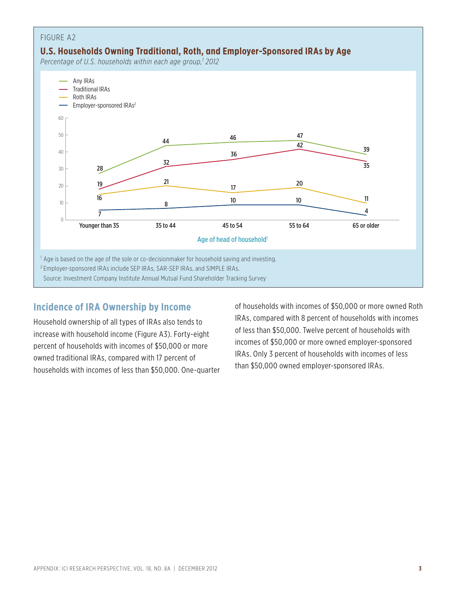

## **Incidence of IRA Ownership by Income**

Household ownership of all types of IRAs also tends to increase with household income (Figure A3). Forty-eight percent of households with incomes of \$50,000 or more owned traditional IRAs, compared with 17 percent of households with incomes of less than \$50,000. One-quarter of households with incomes of \$50,000 or more owned Roth IRAs, compared with 8 percent of households with incomes of less than \$50,000. Twelve percent of households with incomes of \$50,000 or more owned employer-sponsored IRAs. Only 3 percent of households with incomes of less than \$50,000 owned employer-sponsored IRAs.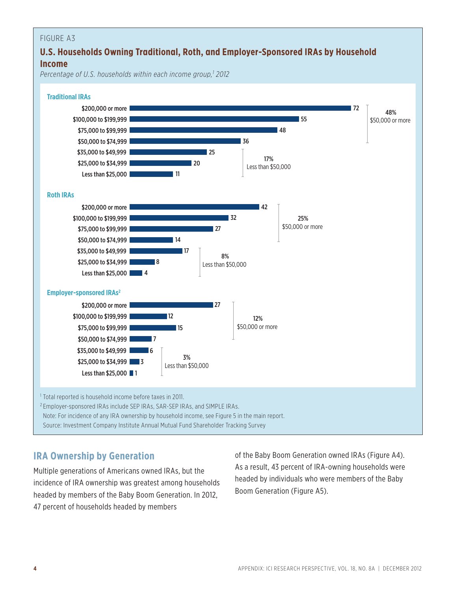## **U.S. Households Owning Traditional, Roth, and Employer-Sponsored IRAs by Household Income**

*Percentage of U.S. households within each income group,1 2012*



### **IRA Ownership by Generation**

Multiple generations of Americans owned IRAs, but the incidence of IRA ownership was greatest among households headed by members of the Baby Boom Generation. In 2012, 47 percent of households headed by members

of the Baby Boom Generation owned IRAs (Figure A4). As a result, 43 percent of IRA-owning households were headed by individuals who were members of the Baby Boom Generation (Figure A5).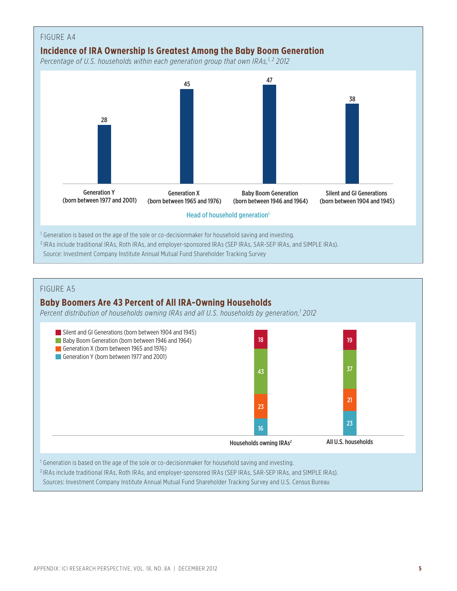![](_page_4_Figure_0.jpeg)

### **Baby Boomers Are 43 Percent of All IRA-Owning Households**

*Percent distribution of households owning IRAs and all U.S. households by generation,1 2012*

![](_page_4_Figure_4.jpeg)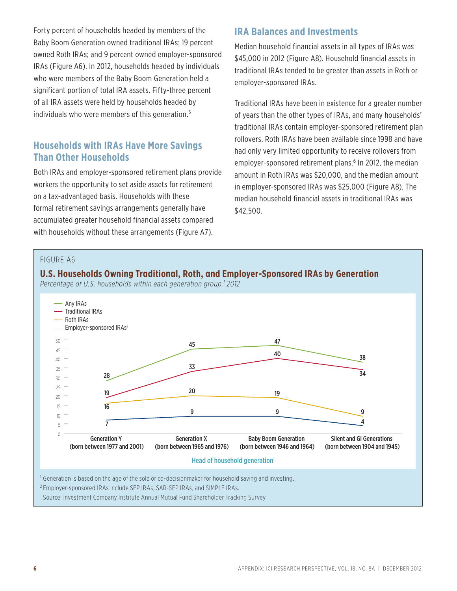Forty percent of households headed by members of the Baby Boom Generation owned traditional IRAs; 19 percent owned Roth IRAs; and 9 percent owned employer-sponsored IRAs (Figure A6). In 2012, households headed by individuals who were members of the Baby Boom Generation held a significant portion of total IRA assets. Fifty-three percent of all IRA assets were held by households headed by individuals who were members of this generation.<sup>5</sup>

## **Households with IRAs Have More Savings Than Other Households**

Both IRAs and employer-sponsored retirement plans provide workers the opportunity to set aside assets for retirement on a tax-advantaged basis. Households with these formal retirement savings arrangements generally have accumulated greater household financial assets compared with households without these arrangements (Figure A7).

## **IRA Balances and Investments**

Median household financial assets in all types of IRAs was \$45,000 in 2012 (Figure A8). Household financial assets in traditional IRAs tended to be greater than assets in Roth or employer-sponsored IRAs.

Traditional IRAs have been in existence for a greater number of years than the other types of IRAs, and many households' traditional IRAs contain employer-sponsored retirement plan rollovers. Roth IRAs have been available since 1998 and have had only very limited opportunity to receive rollovers from employer-sponsored retirement plans.<sup>6</sup> In 2012, the median amount in Roth IRAs was \$20,000, and the median amount in employer-sponsored IRAs was \$25,000 (Figure A8). The median household financial assets in traditional IRAs was \$42,500.

#### FIGURE A6

![](_page_5_Figure_7.jpeg)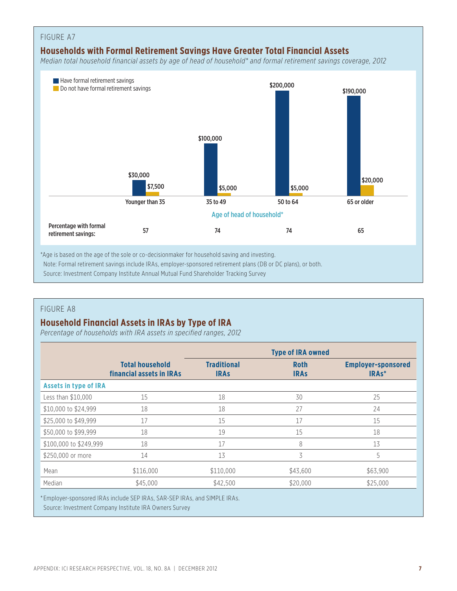![](_page_6_Figure_0.jpeg)

\*Age is based on the age of the sole or co-decisionmaker for household saving and investing. Note: Formal retirement savings include IRAs, employer-sponsored retirement plans (DB or DC plans), or both. Source: Investment Company Institute Annual Mutual Fund Shareholder Tracking Survey

#### FIGURE A8

## **Household Financial Assets in IRAs by Type of IRA**

*Percentage of households with IRA assets in specified ranges, 2012*

|                              |                                                    | <b>Type of IRA owned</b>          |                            |                                                 |  |
|------------------------------|----------------------------------------------------|-----------------------------------|----------------------------|-------------------------------------------------|--|
|                              | <b>Total household</b><br>financial assets in IRAs | <b>Traditional</b><br><b>IRAs</b> | <b>Roth</b><br><b>IRAS</b> | <b>Employer-sponsored</b><br>IRA <sub>s</sub> * |  |
| <b>Assets in type of IRA</b> |                                                    |                                   |                            |                                                 |  |
| Less than \$10,000           | 15                                                 | 18                                | 30                         | 25                                              |  |
| \$10,000 to \$24,999         | 18                                                 | 18                                | 27                         | 24                                              |  |
| \$25,000 to \$49,999         | 17                                                 | 15                                | 17                         | 15                                              |  |
| \$50,000 to \$99,999         | 18                                                 | 19                                | 15                         | 18                                              |  |
| \$100,000 to \$249,999       | 18                                                 | 17                                | 8                          | 13                                              |  |
| \$250,000 or more            | 14                                                 | 13                                | 3                          | 5                                               |  |
| Mean                         | \$116,000                                          | \$110,000                         | \$43,600                   | \$63,900                                        |  |
| Median                       | \$45,000                                           | \$42,500                          | \$20,000                   | \$25,000                                        |  |

\* Employer-sponsored IRAs include SEP IRAs, SAR-SEP IRAs, and SIMPLE IRAs.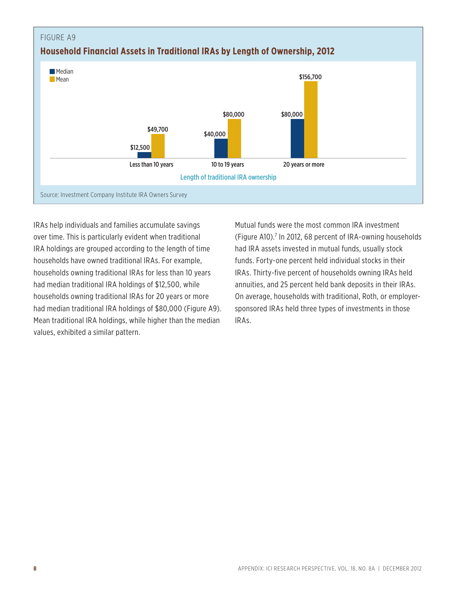![](_page_7_Figure_0.jpeg)

IRAs help individuals and families accumulate savings over time. This is particularly evident when traditional IRA holdings are grouped according to the length of time households have owned traditional IRAs. For example, households owning traditional IRAs for less than 10 years had median traditional IRA holdings of \$12,500, while households owning traditional IRAs for 20 years or more had median traditional IRA holdings of \$80,000 (Figure A9). Mean traditional IRA holdings, while higher than the median values, exhibited a similar pattern.

Mutual funds were the most common IRA investment (Figure A10).<sup>7</sup> In 2012, 68 percent of IRA-owning households had IRA assets invested in mutual funds, usually stock funds. Forty-one percent held individual stocks in their IRAs. Thirty-five percent of households owning IRAs held annuities, and 25 percent held bank deposits in their IRAs. On average, households with traditional, Roth, or employersponsored IRAs held three types of investments in those IRAs.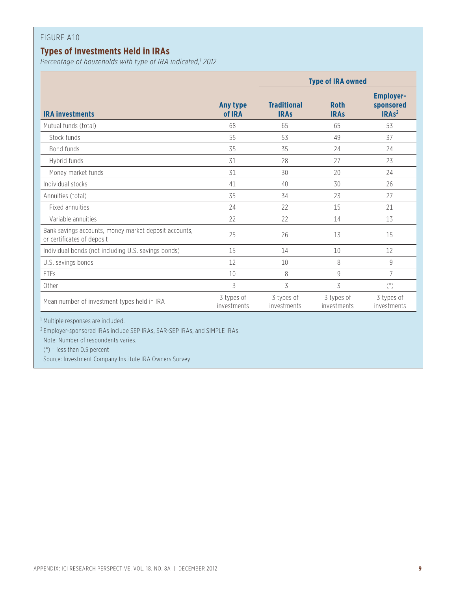## **Types of Investments Held in IRAs**

*Percentage of households with type of IRA indicated,1 2012*

|                                                                                     |                           | <b>Type of IRA owned</b>          |                            |                                                               |  |
|-------------------------------------------------------------------------------------|---------------------------|-----------------------------------|----------------------------|---------------------------------------------------------------|--|
| <b>IRA investments</b>                                                              | Any type<br>of IRA        | <b>Traditional</b><br><b>IRAs</b> | <b>Roth</b><br><b>IRAs</b> | <b>Employer-</b><br>sponsored<br>IRA <sub>s<sup>2</sup></sub> |  |
| Mutual funds (total)                                                                | 68                        | 65                                | 65                         | 53                                                            |  |
| Stock funds                                                                         | 55                        | 53                                | 49                         | 37                                                            |  |
| Bond funds                                                                          | 35                        | 35                                | 24                         | 24                                                            |  |
| Hybrid funds                                                                        | 31                        | 28                                | 27                         | 23                                                            |  |
| Money market funds                                                                  | 31                        | 30                                | 20                         | 24                                                            |  |
| Individual stocks                                                                   | 41                        | 40                                | 30                         | 26                                                            |  |
| Annuities (total)                                                                   | 35                        | 34                                | 23                         | 27                                                            |  |
| Fixed annuities                                                                     | 24                        | 22                                | 15                         | 21                                                            |  |
| Variable annuities                                                                  | 22                        | 22                                | 14                         | 13                                                            |  |
| Bank savings accounts, money market deposit accounts,<br>or certificates of deposit | 25                        | 26                                | 13                         | 15                                                            |  |
| Individual bonds (not including U.S. savings bonds)                                 | 15                        | 14                                | 10                         | 12                                                            |  |
| U.S. savings bonds                                                                  | 12                        | 10                                | 8                          | $\,9$                                                         |  |
| ETFs                                                                                | 10                        | 8                                 | 9                          | 7                                                             |  |
| Other                                                                               | 3                         | 3                                 | 3                          | $(*)$                                                         |  |
| Mean number of investment types held in IRA                                         | 3 types of<br>investments | 3 types of<br>investments         | 3 types of<br>investments  | 3 types of<br>investments                                     |  |

<sup>2</sup> Employer-sponsored IRAs include SEP IRAs, SAR-SEP IRAs, and SIMPLE IRAs.

Note: Number of respondents varies.

 $(*)$  = less than 0.5 percent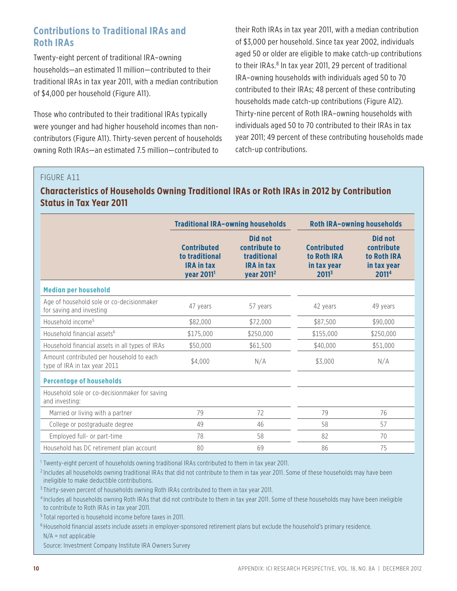## **Contributions to Traditional IRAs and Roth IRAs**

Twenty-eight percent of traditional IRA–owning households—an estimated 11 million—contributed to their traditional IRAs in tax year 2011, with a median contribution of \$4,000 per household (Figure A11).

Those who contributed to their traditional IRAs typically were younger and had higher household incomes than noncontributors (Figure A11). Thirty-seven percent of households owning Roth IRAs—an estimated 7.5 million—contributed to

their Roth IRAs in tax year 2011, with a median contribution of \$3,000 per household. Since tax year 2002, individuals aged 50 or older are eligible to make catch-up contributions to their IRAs.<sup>8</sup> In tax year 2011, 29 percent of traditional IRA–owning households with individuals aged 50 to 70 contributed to their IRAs; 48 percent of these contributing households made catch-up contributions (Figure A12). Thirty-nine percent of Roth IRA–owning households with individuals aged 50 to 70 contributed to their IRAs in tax year 2011; 49 percent of these contributing households made catch-up contributions.

#### FIGURE A11

## **Characteristics of Households Owning Traditional IRAs or Roth IRAs in 2012 by Contribution Status in Tax Year 2011**

|                                                                          |                                                                                     | <b>Traditional IRA-owning households</b>                                                      |                                                                              | <b>Roth IRA-owning households</b>                            |
|--------------------------------------------------------------------------|-------------------------------------------------------------------------------------|-----------------------------------------------------------------------------------------------|------------------------------------------------------------------------------|--------------------------------------------------------------|
|                                                                          | <b>Contributed</b><br>to traditional<br><b>IRA in tax</b><br>year 2011 <sup>1</sup> | <b>Did not</b><br>contribute to<br>traditional<br><b>IRA in tax</b><br>year 2011 <sup>2</sup> | <b>Contributed</b><br>to Roth IRA<br>in tax vear<br><b>2011</b> <sup>3</sup> | Did not<br>contribute<br>to Roth IRA<br>in tax vear<br>20114 |
| <b>Median per household</b>                                              |                                                                                     |                                                                                               |                                                                              |                                                              |
| Age of household sole or co-decisionmaker<br>for saving and investing    | 47 years                                                                            | 57 years                                                                                      | 42 years                                                                     | 49 years                                                     |
| Household income <sup>5</sup>                                            | \$82,000                                                                            | \$72,000                                                                                      | \$87.500                                                                     | \$90,000                                                     |
| Household financial assets <sup>6</sup>                                  | \$175,000                                                                           | \$250,000                                                                                     | \$155,000                                                                    | \$250,000                                                    |
| Household financial assets in all types of IRAs                          | \$50,000                                                                            | \$61,500                                                                                      | \$40,000                                                                     | \$51,000                                                     |
| Amount contributed per household to each<br>type of IRA in tax year 2011 | \$4.000                                                                             | N/A                                                                                           | \$3.000                                                                      | N/A                                                          |
| <b>Percentage of households</b>                                          |                                                                                     |                                                                                               |                                                                              |                                                              |
| Household sole or co-decisionmaker for saving<br>and investing:          |                                                                                     |                                                                                               |                                                                              |                                                              |
| Married or living with a partner                                         | 79                                                                                  | 72                                                                                            | 79                                                                           | 76                                                           |
| College or postgraduate degree                                           | 49                                                                                  | 46                                                                                            | 58                                                                           | 57                                                           |
| Employed full- or part-time                                              | 78                                                                                  | 58                                                                                            | 82                                                                           | 70                                                           |
| Household has DC retirement plan account                                 | 80                                                                                  | 69                                                                                            | 86                                                                           | 75                                                           |

<sup>1</sup> Twenty-eight percent of households owning traditional IRAs contributed to them in tax year 2011.

<sup>2</sup> Includes all households owning traditional IRAs that did not contribute to them in tax year 2011. Some of these households may have been ineligible to make deductible contributions.

<sup>3</sup> Thirty-seven percent of households owning Roth IRAs contributed to them in tax year 2011.

<sup>4</sup> Includes all households owning Roth IRAs that did not contribute to them in tax year 2011. Some of these households may have been ineligible to contribute to Roth IRAs in tax year 2011.

<sup>5</sup> Total reported is household income before taxes in 2011.

<sup>6</sup> Household financial assets include assets in employer-sponsored retirement plans but exclude the household's primary residence.

 $N/A$  = not applicable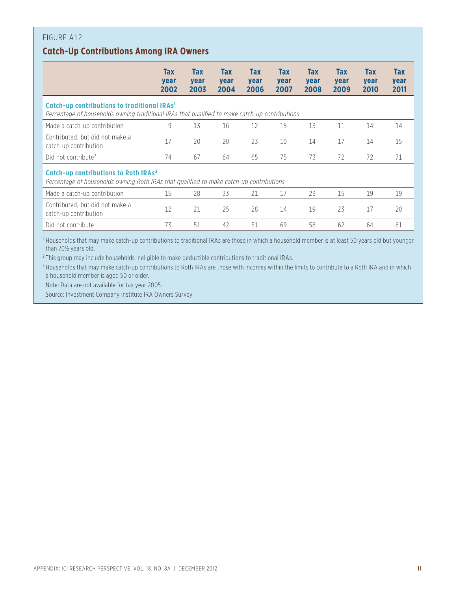## **Catch-Up Contributions Among IRA Owners**

| Tax<br>year<br>2002                                                                                                                         | <b>Tax</b><br>year<br>2003                              | <b>Tax</b><br>year<br>2004 | <b>Tax</b><br>year<br>2006 | <b>Tax</b><br>year<br>2007 | <b>Tax</b><br>year<br>2008 | Tax<br>year<br>2009                                                                            | <b>Tax</b><br>year<br>2010                                                                                                                                                                                                         | Tax<br>year<br>2011 |
|---------------------------------------------------------------------------------------------------------------------------------------------|---------------------------------------------------------|----------------------------|----------------------------|----------------------------|----------------------------|------------------------------------------------------------------------------------------------|------------------------------------------------------------------------------------------------------------------------------------------------------------------------------------------------------------------------------------|---------------------|
|                                                                                                                                             |                                                         |                            |                            |                            |                            |                                                                                                |                                                                                                                                                                                                                                    |                     |
| 9                                                                                                                                           | 13                                                      | 16                         | 12                         | 15                         | 13                         | 11                                                                                             | 14                                                                                                                                                                                                                                 | 14                  |
| 17                                                                                                                                          | 20                                                      | 20                         | 23                         | 10                         | 14                         | 17                                                                                             | 14                                                                                                                                                                                                                                 | 15                  |
| 74                                                                                                                                          | 67                                                      | 64                         | 65                         | 75                         | 73                         | 72                                                                                             | 72                                                                                                                                                                                                                                 | 71                  |
| Catch-up contributions to Roth IRAs <sup>3</sup><br>Percentage of households owning Roth IRAs that qualified to make catch-up contributions |                                                         |                            |                            |                            |                            |                                                                                                |                                                                                                                                                                                                                                    |                     |
| 15                                                                                                                                          | 28                                                      | 33                         | 21                         | 17                         | 23                         | 15                                                                                             | 19                                                                                                                                                                                                                                 | 19                  |
| 12                                                                                                                                          | 21                                                      | 25                         | 28                         | 14                         | 19                         | 23                                                                                             | 17                                                                                                                                                                                                                                 | 20                  |
| 73                                                                                                                                          | 51                                                      | 42                         | 51                         | 69                         | 58                         | 62                                                                                             | 64                                                                                                                                                                                                                                 | 61                  |
|                                                                                                                                             | Catch-up contributions to traditional IRAs <sup>1</sup> |                            |                            |                            |                            | Percentage of households owning traditional IRAs that qualified to make catch-up contributions | 1 House to the above the country of constituting an amentation (ITNA) contains to the following the first official and the first of $\Gamma$ A second the first of the first of the first of the first of the first of the first o |                     |

<sup>1</sup> Households that may make catch-up contributions to traditional IRAs are those in which a household member is at least 50 years old but younger than 70½ years old.

<sup>2</sup> This group may include households ineligible to make deductible contributions to traditional IRAs.

<sup>3</sup> Households that may make catch-up contributions to Roth IRAs are those with incomes within the limits to contribute to a Roth IRA and in which a household member is aged 50 or older.

Note: Data are not available for tax year 2005.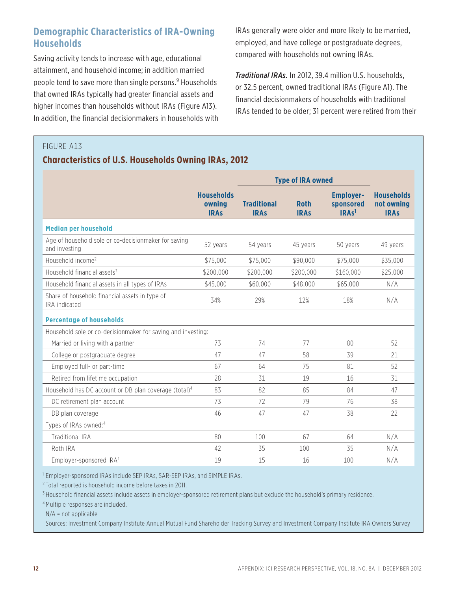## **Demographic Characteristics of IRA-Owning Households**

Saving activity tends to increase with age, educational attainment, and household income; in addition married people tend to save more than single persons.<sup>9</sup> Households that owned IRAs typically had greater financial assets and higher incomes than households without IRAs (Figure A13). In addition, the financial decisionmakers in households with IRAs generally were older and more likely to be married, employed, and have college or postgraduate degrees, compared with households not owning IRAs.

*Traditional IRAs.* In 2012, 39.4 million U.S. households, or 32.5 percent, owned traditional IRAs (Figure A1). The financial decisionmakers of households with traditional IRAs tended to be older; 31 percent were retired from their

#### FIGURE A13

### **Characteristics of U.S. Households Owning IRAs, 2012**

|                                                                       | <b>Type of IRA owned</b>                   |                                   |                            |                                                    |                                                |
|-----------------------------------------------------------------------|--------------------------------------------|-----------------------------------|----------------------------|----------------------------------------------------|------------------------------------------------|
|                                                                       | <b>Households</b><br>owning<br><b>IRAs</b> | <b>Traditional</b><br><b>IRAS</b> | <b>Roth</b><br><b>IRAs</b> | <b>Employer-</b><br>sponsored<br>IRAs <sup>1</sup> | <b>Households</b><br>not owning<br><b>IRAs</b> |
| <b>Median per household</b>                                           |                                            |                                   |                            |                                                    |                                                |
| Age of household sole or co-decisionmaker for saving<br>and investing | 52 years                                   | 54 years                          | 45 years                   | 50 years                                           | 49 years                                       |
| Household income <sup>2</sup>                                         | \$75,000                                   | \$75,000                          | \$90,000                   | \$75,000                                           | \$35,000                                       |
| Household financial assets <sup>3</sup>                               | \$200,000                                  | \$200,000                         | \$200,000                  | \$160,000                                          | \$25,000                                       |
| Household financial assets in all types of IRAs                       | \$45,000                                   | \$60,000                          | \$48,000                   | \$65,000                                           | N/A                                            |
| Share of household financial assets in type of<br>IRA indicated       | 34%                                        | 29%                               | 12%                        | 18%                                                | N/A                                            |
| <b>Percentage of households</b>                                       |                                            |                                   |                            |                                                    |                                                |
| Household sole or co-decisionmaker for saving and investing:          |                                            |                                   |                            |                                                    |                                                |
| Married or living with a partner                                      | 73                                         | 74                                | 77                         | 80                                                 | 52                                             |
| College or postgraduate degree                                        | 47                                         | 47                                | 58                         | 39                                                 | 21                                             |
| Employed full- or part-time                                           | 67                                         | 64                                | 75                         | 81                                                 | 52                                             |
| Retired from lifetime occupation                                      | 28                                         | 31                                | 19                         | 16                                                 | 31                                             |
| Household has DC account or DB plan coverage (total) <sup>4</sup>     | 83                                         | 82                                | 85                         | 84                                                 | 47                                             |
| DC retirement plan account                                            | 73                                         | 72                                | 79                         | 76                                                 | 38                                             |
| DB plan coverage                                                      | 46                                         | 47                                | 47                         | 38                                                 | 22                                             |
| Types of IRAs owned:4                                                 |                                            |                                   |                            |                                                    |                                                |
| <b>Traditional IRA</b>                                                | 80                                         | 100                               | 67                         | 64                                                 | N/A                                            |
| Roth IRA                                                              | 42                                         | 35                                | 100                        | 35                                                 | N/A                                            |
| Employer-sponsored IRA <sup>1</sup>                                   | 19                                         | 15                                | 16                         | 100                                                | N/A                                            |

<sup>1</sup> Employer-sponsored IRAs include SEP IRAs, SAR-SEP IRAs, and SIMPLE IRAs.

<sup>2</sup> Total reported is household income before taxes in 2011.

<sup>3</sup> Household financial assets include assets in employer-sponsored retirement plans but exclude the household's primary residence.

<sup>4</sup> Multiple responses are included.

N/A = not applicable

Sources: Investment Company Institute Annual Mutual Fund Shareholder Tracking Survey and Investment Company Institute IRA Owners Survey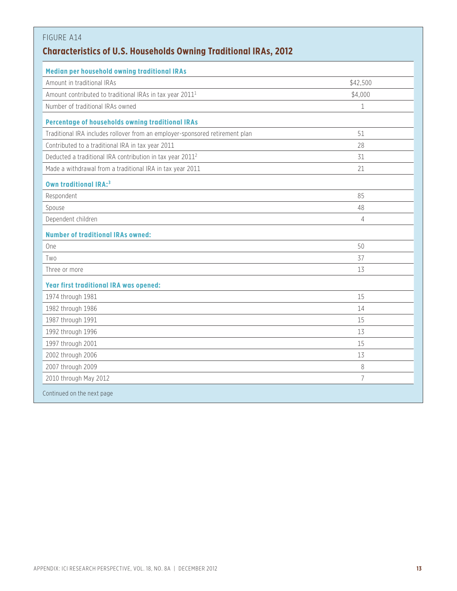| FIGURE A14                                                                   |                |
|------------------------------------------------------------------------------|----------------|
| <b>Characteristics of U.S. Households Owning Traditional IRAs, 2012</b>      |                |
| Median per household owning traditional IRAs                                 |                |
| Amount in traditional IRAs                                                   | \$42,500       |
| Amount contributed to traditional IRAs in tax year 2011 <sup>1</sup>         | \$4,000        |
| Number of traditional IRAs owned                                             | $\mathbf 1$    |
| Percentage of households owning traditional IRAs                             |                |
| Traditional IRA includes rollover from an employer-sponsored retirement plan | 51             |
| Contributed to a traditional IRA in tax year 2011                            | 28             |
| Deducted a traditional IRA contribution in tax year 2011 <sup>2</sup>        | 31             |
| Made a withdrawal from a traditional IRA in tax year 2011                    | 21             |
| <b>Own traditional IRA:3</b>                                                 |                |
| Respondent                                                                   | 85             |
| Spouse                                                                       | 48             |
| Dependent children                                                           | 4              |
| <b>Number of traditional IRAs owned:</b>                                     |                |
| One                                                                          | 50             |
| Two                                                                          | 37             |
| Three or more                                                                | 13             |
| <b>Year first traditional IRA was opened:</b>                                |                |
| 1974 through 1981                                                            | 15             |
| 1982 through 1986                                                            | 14             |
| 1987 through 1991                                                            | 15             |
| 1992 through 1996                                                            | 13             |
| 1997 through 2001                                                            | 15             |
| 2002 through 2006                                                            | 13             |
| 2007 through 2009                                                            | 8              |
| 2010 through May 2012                                                        | $\overline{7}$ |
| Continued on the next page                                                   |                |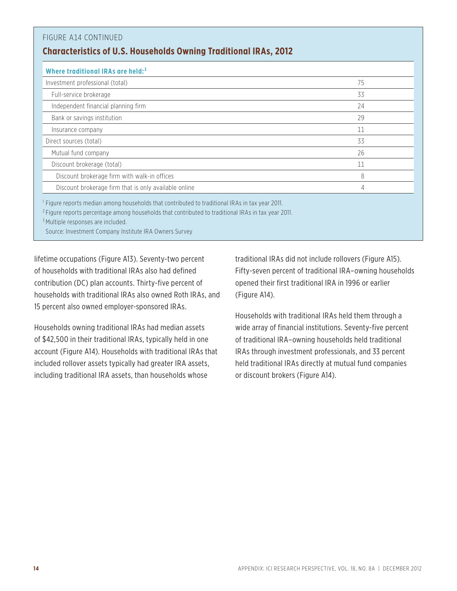| FIGURE A14 CONTINUED<br><b>Characteristics of U.S. Households Owning Traditional IRAs, 2012</b>                                                                                                                                                                               |    |
|-------------------------------------------------------------------------------------------------------------------------------------------------------------------------------------------------------------------------------------------------------------------------------|----|
| Where traditional IRAs are held: <sup>3</sup>                                                                                                                                                                                                                                 |    |
| Investment professional (total)                                                                                                                                                                                                                                               | 75 |
| Full-service brokerage                                                                                                                                                                                                                                                        | 33 |
| Independent financial planning firm                                                                                                                                                                                                                                           | 24 |
| Bank or savings institution                                                                                                                                                                                                                                                   | 29 |
| Insurance company                                                                                                                                                                                                                                                             | 11 |
| Direct sources (total)                                                                                                                                                                                                                                                        | 33 |
| Mutual fund company                                                                                                                                                                                                                                                           | 26 |
| Discount brokerage (total)                                                                                                                                                                                                                                                    | 11 |
| Discount brokerage firm with walk-in offices                                                                                                                                                                                                                                  | 8  |
| Discount brokerage firm that is only available online                                                                                                                                                                                                                         | 4  |
| <sup>1</sup> Figure reports median among households that contributed to traditional IRAs in tax year 2011.<br><sup>2</sup> Figure reports percentage among households that contributed to traditional IRAs in tax year 2011.<br><sup>3</sup> Multiple responses are included. |    |

Source: Investment Company Institute IRA Owners Survey

lifetime occupations (Figure A13). Seventy-two percent of households with traditional IRAs also had defined contribution (DC) plan accounts. Thirty-five percent of households with traditional IRAs also owned Roth IRAs, and 15 percent also owned employer-sponsored IRAs.

Households owning traditional IRAs had median assets of \$42,500 in their traditional IRAs, typically held in one account (Figure A14). Households with traditional IRAs that included rollover assets typically had greater IRA assets, including traditional IRA assets, than households whose

traditional IRAs did not include rollovers (Figure A15). Fifty-seven percent of traditional IRA–owning households opened their first traditional IRA in 1996 or earlier (Figure A14).

Households with traditional IRAs held them through a wide array of financial institutions. Seventy-five percent of traditional IRA–owning households held traditional IRAs through investment professionals, and 33 percent held traditional IRAs directly at mutual fund companies or discount brokers (Figure A14).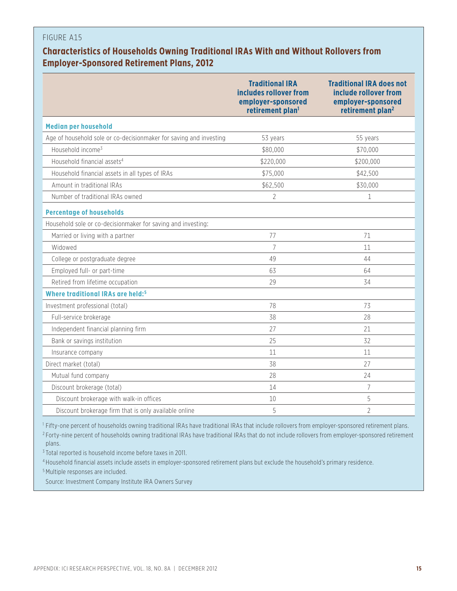## **Characteristics of Households Owning Traditional IRAs With and Without Rollovers from Employer-Sponsored Retirement Plans, 2012**

|                                                                    | <b>Traditional IRA</b><br>includes rollover from<br>employer-sponsored<br>retirement plan <sup>1</sup> | <b>Traditional IRA does not</b><br>include rollover from<br>employer-sponsored<br>retirement plan <sup>2</sup> |
|--------------------------------------------------------------------|--------------------------------------------------------------------------------------------------------|----------------------------------------------------------------------------------------------------------------|
| <b>Median per household</b>                                        |                                                                                                        |                                                                                                                |
| Age of household sole or co-decisionmaker for saving and investing | 53 years                                                                                               | 55 years                                                                                                       |
| Household income <sup>3</sup>                                      | \$80,000                                                                                               | \$70,000                                                                                                       |
| Household financial assets <sup>4</sup>                            | \$220,000                                                                                              | \$200,000                                                                                                      |
| Household financial assets in all types of IRAs                    | \$75,000                                                                                               | \$42,500                                                                                                       |
| Amount in traditional IRAs                                         | \$62,500                                                                                               | \$30,000                                                                                                       |
| Number of traditional IRAs owned                                   | $\overline{2}$                                                                                         | $\mathbf 1$                                                                                                    |
| <b>Percentage of households</b>                                    |                                                                                                        |                                                                                                                |
| Household sole or co-decisionmaker for saving and investing:       |                                                                                                        |                                                                                                                |
| Married or living with a partner                                   | 77                                                                                                     | 71                                                                                                             |
| Widowed                                                            | $\overline{7}$                                                                                         | 11                                                                                                             |
| College or postgraduate degree                                     | 49                                                                                                     | 44                                                                                                             |
| Employed full- or part-time                                        | 63                                                                                                     | 64                                                                                                             |
| Retired from lifetime occupation                                   | 29                                                                                                     | 34                                                                                                             |
| Where traditional IRAs are held: <sup>5</sup>                      |                                                                                                        |                                                                                                                |
| Investment professional (total)                                    | 78                                                                                                     | 73                                                                                                             |
| Full-service brokerage                                             | 38                                                                                                     | 28                                                                                                             |
| Independent financial planning firm                                | 27                                                                                                     | 21                                                                                                             |
| Bank or savings institution                                        | 25                                                                                                     | 32                                                                                                             |
| Insurance company                                                  | 11                                                                                                     | 11                                                                                                             |
| Direct market (total)                                              | 38                                                                                                     | 27                                                                                                             |
| Mutual fund company                                                | 28                                                                                                     | 24                                                                                                             |
| Discount brokerage (total)                                         | 14                                                                                                     | $\overline{7}$                                                                                                 |
| Discount brokerage with walk-in offices                            | 10                                                                                                     | 5                                                                                                              |
| Discount brokerage firm that is only available online              | 5                                                                                                      | $\overline{2}$                                                                                                 |

<sup>1</sup> Fifty-one percent of households owning traditional IRAs have traditional IRAs that include rollovers from employer-sponsored retirement plans. <sup>2</sup> Forty-nine percent of households owning traditional IRAs have traditional IRAs that do not include rollovers from employer-sponsored retirement plans.

<sup>3</sup> Total reported is household income before taxes in 2011.

<sup>4</sup> Household financial assets include assets in employer-sponsored retirement plans but exclude the household's primary residence.

<sup>5</sup> Multiple responses are included.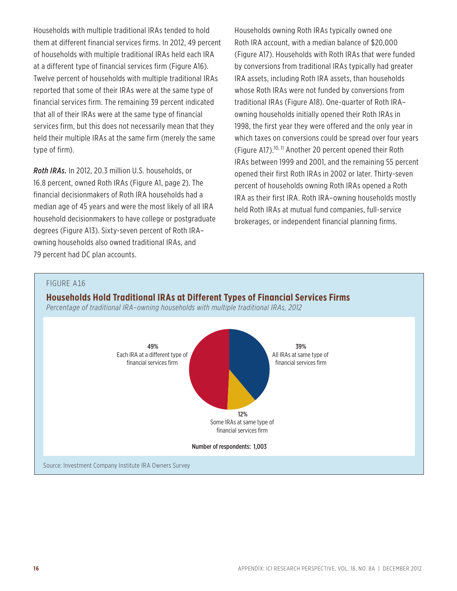Households with multiple traditional IRAs tended to hold them at different financial services firms. In 2012, 49 percent of households with multiple traditional IRAs held each IRA at a different type of financial services firm (Figure A16). Twelve percent of households with multiple traditional IRAs reported that some of their IRAs were at the same type of financial services firm. The remaining 39 percent indicated that all of their IRAs were at the same type of financial services firm, but this does not necessarily mean that they held their multiple IRAs at the same firm (merely the same type of firm).

*Roth IRAs.* In 2012, 20.3 million U.S. households, or 16.8 percent, owned Roth IRAs (Figure A1, page 2). The financial decisionmakers of Roth IRA households had a median age of 45 years and were the most likely of all IRA household decisionmakers to have college or postgraduate degrees (Figure A13). Sixty-seven percent of Roth IRA– owning households also owned traditional IRAs, and 79 percent had DC plan accounts.

Households owning Roth IRAs typically owned one Roth IRA account, with a median balance of \$20,000 (Figure A17). Households with Roth IRAs that were funded by conversions from traditional IRAs typically had greater IRA assets, including Roth IRA assets, than households whose Roth IRAs were not funded by conversions from traditional IRAs (Figure A18). One-quarter of Roth IRA– owning households initially opened their Roth IRAs in 1998, the first year they were offered and the only year in which taxes on conversions could be spread over four years (Figure A17).<sup>10, 11</sup> Another 20 percent opened their Roth IRAs between 1999 and 2001, and the remaining 55 percent opened their first Roth IRAs in 2002 or later. Thirty-seven percent of households owning Roth IRAs opened a Roth IRA as their first IRA. Roth IRA–owning households mostly held Roth IRAs at mutual fund companies, full-service brokerages, or independent financial planning firms.

#### FIGURE A16

#### **Households Hold Traditional IRAs at Different Types of Financial Services Firms**

*Percentage of traditional IRA–owning households with multiple traditional IRAs, 2012*

![](_page_15_Figure_6.jpeg)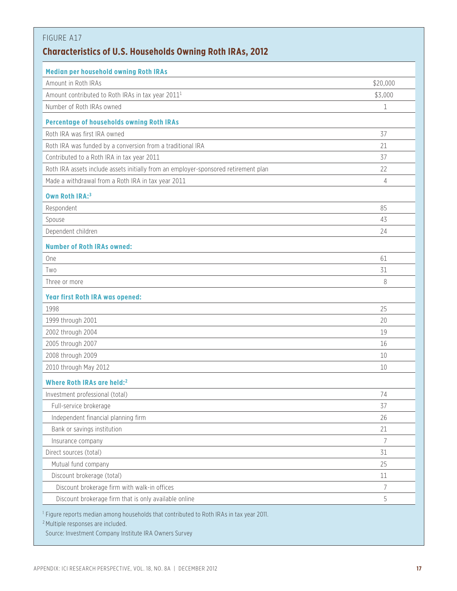| <b>Median per household owning Roth IRAs</b>                                        |              |
|-------------------------------------------------------------------------------------|--------------|
| Amount in Roth IRAs                                                                 | \$20,000     |
| Amount contributed to Roth IRAs in tax year 2011 <sup>1</sup>                       | \$3,000      |
| Number of Roth IRAs owned                                                           | $\mathbf{1}$ |
| <b>Percentage of households owning Roth IRAs</b>                                    |              |
| Roth IRA was first IRA owned                                                        | 37           |
| Roth IRA was funded by a conversion from a traditional IRA                          | 21           |
| Contributed to a Roth IRA in tax year 2011                                          | 37           |
| Roth IRA assets include assets initially from an employer-sponsored retirement plan | 22           |
| Made a withdrawal from a Roth IRA in tax year 2011                                  | 4            |
| Own Roth IRA:3                                                                      |              |
| Respondent                                                                          | 85           |
| Spouse                                                                              | 43           |
| Dependent children                                                                  | 24           |
| <b>Number of Roth IRAs owned:</b>                                                   |              |
| One                                                                                 | 61           |
| Two                                                                                 | 31           |
| Three or more                                                                       | 8            |
| <b>Year first Roth IRA was opened:</b>                                              |              |
| 1998                                                                                | 25           |
| 1999 through 2001                                                                   | 20           |
| 2002 through 2004                                                                   | 19           |
| 2005 through 2007                                                                   | 16           |
| 2008 through 2009                                                                   | 10           |
| 2010 through May 2012                                                               | 10           |
| Where Roth IRAs are held: <sup>2</sup>                                              |              |
| Investment professional (total)                                                     | 74           |
| Full-service brokerage                                                              | 37           |
| Independent financial planning firm                                                 | 26           |
| Bank or savings institution                                                         | 21           |
| Insurance company                                                                   | 7            |
| Direct sources (total)                                                              | 31           |
| Mutual fund company                                                                 | 25           |
| Discount brokerage (total)                                                          | 11           |
| Discount brokerage firm with walk-in offices                                        | 7            |
| Discount brokerage firm that is only available online                               | 5            |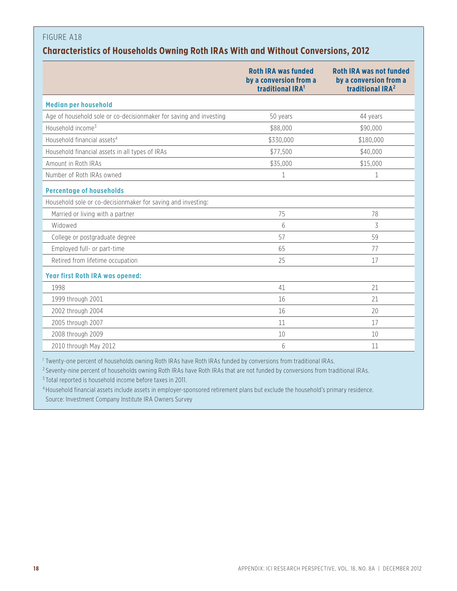## **Characteristics of Households Owning Roth IRAs With and Without Conversions, 2012**

|                                                                    | <b>Roth IRA was funded</b><br>by a conversion from a<br>traditional IRA <sup>1</sup> | <b>Roth IRA was not funded</b><br>by a conversion from a<br>traditional IRA <sup>2</sup> |
|--------------------------------------------------------------------|--------------------------------------------------------------------------------------|------------------------------------------------------------------------------------------|
| <b>Median per household</b>                                        |                                                                                      |                                                                                          |
| Age of household sole or co-decisionmaker for saving and investing | 50 years                                                                             | 44 years                                                                                 |
| Household income <sup>3</sup>                                      | \$88,000                                                                             | \$90,000                                                                                 |
| Household financial assets <sup>4</sup>                            | \$330,000                                                                            | \$180,000                                                                                |
| Household financial assets in all types of IRAs                    | \$77,500                                                                             | \$40,000                                                                                 |
| Amount in Roth IRAs                                                | \$35,000                                                                             | \$15,000                                                                                 |
| Number of Roth IRAs owned                                          | $\mathbf{1}$                                                                         | $\mathbf{1}$                                                                             |
| <b>Percentage of households</b>                                    |                                                                                      |                                                                                          |
| Household sole or co-decisionmaker for saving and investing:       |                                                                                      |                                                                                          |
| Married or living with a partner                                   | 75                                                                                   | 78                                                                                       |
| Widowed                                                            | 6                                                                                    | 3                                                                                        |
| College or postgraduate degree                                     | 57                                                                                   | 59                                                                                       |
| Employed full- or part-time                                        | 65                                                                                   | 77                                                                                       |
| Retired from lifetime occupation                                   | 25                                                                                   | 17                                                                                       |
| <b>Year first Roth IRA was opened:</b>                             |                                                                                      |                                                                                          |
| 1998                                                               | 41                                                                                   | 21                                                                                       |
| 1999 through 2001                                                  | 16                                                                                   | 21                                                                                       |
| 2002 through 2004                                                  | 16                                                                                   | 20                                                                                       |
| 2005 through 2007                                                  | 11                                                                                   | 17                                                                                       |
| 2008 through 2009                                                  | 10                                                                                   | 10                                                                                       |
| 2010 through May 2012                                              | 6                                                                                    | 11                                                                                       |

<sup>1</sup> Twenty-one percent of households owning Roth IRAs have Roth IRAs funded by conversions from traditional IRAs.

<sup>2</sup> Seventy-nine percent of households owning Roth IRAs have Roth IRAs that are not funded by conversions from traditional IRAs.

<sup>3</sup> Total reported is household income before taxes in 2011.

<sup>4</sup> Household financial assets include assets in employer-sponsored retirement plans but exclude the household's primary residence. Source: Investment Company Institute IRA Owners Survey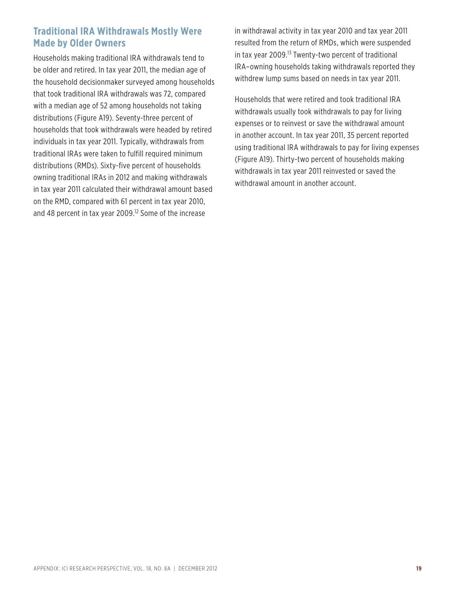## **Traditional IRA Withdrawals Mostly Were Made by Older Owners**

Households making traditional IRA withdrawals tend to be older and retired. In tax year 2011, the median age of the household decisionmaker surveyed among households that took traditional IRA withdrawals was 72, compared with a median age of 52 among households not taking distributions (Figure A19). Seventy-three percent of households that took withdrawals were headed by retired individuals in tax year 2011. Typically, withdrawals from traditional IRAs were taken to fulfill required minimum distributions (RMDs). Sixty-five percent of households owning traditional IRAs in 2012 and making withdrawals in tax year 2011 calculated their withdrawal amount based on the RMD, compared with 61 percent in tax year 2010, and 48 percent in tax year 2009.<sup>12</sup> Some of the increase

in withdrawal activity in tax year 2010 and tax year 2011 resulted from the return of RMDs, which were suspended in tax year 2009.13 Twenty-two percent of traditional IRA–owning households taking withdrawals reported they withdrew lump sums based on needs in tax year 2011.

Households that were retired and took traditional IRA withdrawals usually took withdrawals to pay for living expenses or to reinvest or save the withdrawal amount in another account. In tax year 2011, 35 percent reported using traditional IRA withdrawals to pay for living expenses (Figure A19). Thirty-two percent of households making withdrawals in tax year 2011 reinvested or saved the withdrawal amount in another account.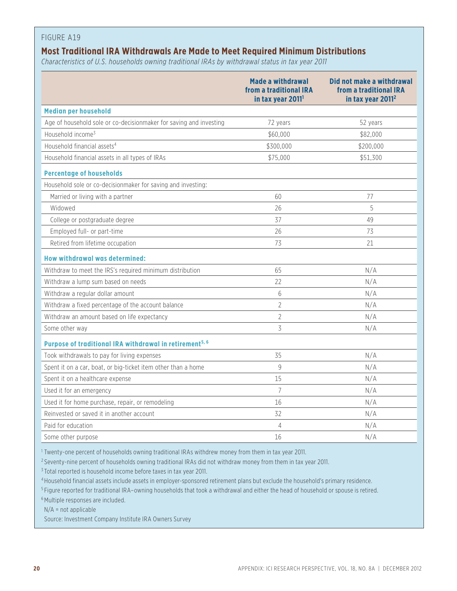#### **Most Traditional IRA Withdrawals Are Made to Meet Required Minimum Distributions**

*Characteristics of U.S. households owning traditional IRAs by withdrawal status in tax year 2011*

|                                                                     | <b>Made a withdrawal</b><br>from a traditional IRA<br>in tax year 2011 <sup>1</sup> | Did not make a withdrawal<br>from a traditional IRA<br>in tax year 2011 <sup>2</sup> |
|---------------------------------------------------------------------|-------------------------------------------------------------------------------------|--------------------------------------------------------------------------------------|
| <b>Median per household</b>                                         |                                                                                     |                                                                                      |
| Age of household sole or co-decisionmaker for saving and investing  | 72 years                                                                            | 52 years                                                                             |
| Household income <sup>3</sup>                                       | \$60,000                                                                            | \$82,000                                                                             |
| Household financial assets <sup>4</sup>                             | \$300,000                                                                           | \$200,000                                                                            |
| Household financial assets in all types of IRAs                     | \$75,000                                                                            | \$51,300                                                                             |
| <b>Percentage of households</b>                                     |                                                                                     |                                                                                      |
| Household sole or co-decisionmaker for saving and investing:        |                                                                                     |                                                                                      |
| Married or living with a partner                                    | 60                                                                                  | 77                                                                                   |
| Widowed                                                             | 26                                                                                  | 5                                                                                    |
| College or postgraduate degree                                      | 37                                                                                  | 49                                                                                   |
| Employed full- or part-time                                         | 26                                                                                  | 73                                                                                   |
| Retired from lifetime occupation                                    | 73                                                                                  | 21                                                                                   |
| How withdrawal was determined:                                      |                                                                                     |                                                                                      |
| Withdraw to meet the IRS's required minimum distribution            | 65                                                                                  | N/A                                                                                  |
| Withdraw a lump sum based on needs                                  | 22                                                                                  | N/A                                                                                  |
| Withdraw a regular dollar amount                                    | 6                                                                                   | N/A                                                                                  |
| Withdraw a fixed percentage of the account balance                  | $\overline{2}$                                                                      | N/A                                                                                  |
| Withdraw an amount based on life expectancy                         | $\overline{2}$                                                                      | N/A                                                                                  |
| Some other way                                                      | 3                                                                                   | N/A                                                                                  |
| Purpose of traditional IRA withdrawal in retirement <sup>5, 6</sup> |                                                                                     |                                                                                      |
| Took withdrawals to pay for living expenses                         | 35                                                                                  | N/A                                                                                  |
| Spent it on a car, boat, or big-ticket item other than a home       | $\overline{9}$                                                                      | N/A                                                                                  |
| Spent it on a healthcare expense                                    | 15                                                                                  | N/A                                                                                  |
| Used it for an emergency                                            | $\overline{7}$                                                                      | N/A                                                                                  |
| Used it for home purchase, repair, or remodeling                    | 16                                                                                  | N/A                                                                                  |
| Reinvested or saved it in another account                           | 32                                                                                  | N/A                                                                                  |
| Paid for education                                                  | 4                                                                                   | N/A                                                                                  |
| Some other purpose                                                  | 16                                                                                  | N/A                                                                                  |

<sup>1</sup> Twenty-one percent of households owning traditional IRAs withdrew money from them in tax year 2011.

<sup>2</sup> Seventy-nine percent of households owning traditional IRAs did not withdraw money from them in tax year 2011.

<sup>3</sup> Total reported is household income before taxes in tax year 2011.

<sup>4</sup> Household financial assets include assets in employer-sponsored retirement plans but exclude the household's primary residence.

<sup>5</sup> Figure reported for traditional IRA–owning households that took a withdrawal and either the head of household or spouse is retired.

<sup>6</sup> Multiple responses are included.

N/A = not applicable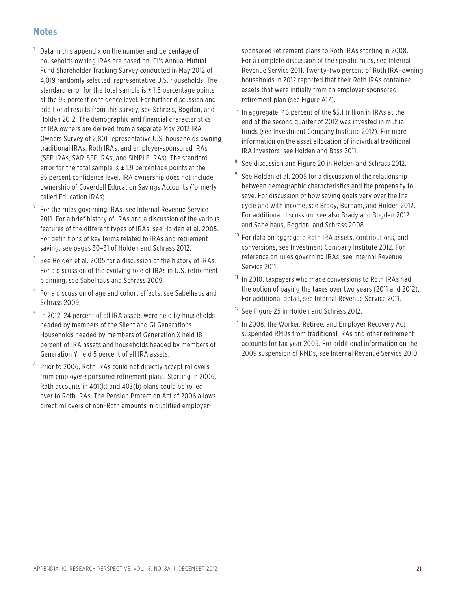## **Notes**

- <sup>1</sup> Data in this appendix on the number and percentage of households owning IRAs are based on ICI's Annual Mutual Fund Shareholder Tracking Survey conducted in May 2012 of 4,019 randomly selected, representative U.S. households. The standard error for the total sample is  $\pm$  1.6 percentage points at the 95 percent confidence level. For further discussion and additional results from this survey, see Schrass, Bogdan, and Holden 2012. The demographic and financial characteristics of IRA owners are derived from a separate May 2012 IRA Owners Survey of 2,801 representative U.S. households owning traditional IRAs, Roth IRAs, and employer-sponsored IRAs (SEP IRAs, SAR-SEP IRAs, and SIMPLE IRAs). The standard error for the total sample is  $\pm$  1.9 percentage points at the 95 percent confidence level. IRA ownership does not include ownership of Coverdell Education Savings Accounts (formerly called Education IRAs).
- $2$  For the rules governing IRAs, see Internal Revenue Service 2011. For a brief history of IRAs and a discussion of the various features of the different types of IRAs, see Holden et al. 2005. For definitions of key terms related to IRAs and retirement saving, see pages 30–31 of Holden and Schrass 2012.
- $3$  See Holden et al. 2005 for a discussion of the history of IRAs. For a discussion of the evolving role of IRAs in U.S. retirement planning, see Sabelhaus and Schrass 2009.
- <sup>4</sup> For a discussion of age and cohort effects, see Sabelhaus and Schrass 2009.
- <sup>5</sup> In 2012, 24 percent of all IRA assets were held by households headed by members of the Silent and GI Generations. Households headed by members of Generation X held 18 percent of IRA assets and households headed by members of Generation Y held 5 percent of all IRA assets.
- <sup>6</sup> Prior to 2006, Roth IRAs could not directly accept rollovers from employer-sponsored retirement plans. Starting in 2006, Roth accounts in 401(k) and 403(b) plans could be rolled over to Roth IRAs. The Pension Protection Act of 2006 allows direct rollovers of non-Roth amounts in qualified employer-

sponsored retirement plans to Roth IRAs starting in 2008. For a complete discussion of the specific rules, see Internal Revenue Service 2011. Twenty-two percent of Roth IRA–owning households in 2012 reported that their Roth IRAs contained assets that were initially from an employer-sponsored retirement plan (see Figure A17).

- $<sup>7</sup>$  In aggregate, 46 percent of the \$5.1 trillion in IRAs at the</sup> end of the second quarter of 2012 was invested in mutual funds (see Investment Company Institute 2012). For more information on the asset allocation of individual traditional IRA investors, see Holden and Bass 2011.
- <sup>8</sup> See discussion and Figure 20 in Holden and Schrass 2012.
- See Holden et al. 2005 for a discussion of the relationship between demographic characteristics and the propensity to save. For discussion of how saving goals vary over the life cycle and with income, see Brady, Burham, and Holden 2012. For additional discussion, see also Brady and Bogdan 2012 and Sabelhaus, Bogdan, and Schrass 2008.
- <sup>10</sup> For data on aggregate Roth IRA assets, contributions, and conversions, see Investment Company Institute 2012. For reference on rules governing IRAs, see Internal Revenue Service 2011.
- <sup>11</sup> In 2010, taxpayers who made conversions to Roth IRAs had the option of paying the taxes over two years (2011 and 2012). For additional detail, see Internal Revenue Service 2011.
- <sup>12</sup> See Figure 25 in Holden and Schrass 2012.
- <sup>13</sup> In 2008, the Worker, Retiree, and Employer Recovery Act suspended RMDs from traditional IRAs and other retirement accounts for tax year 2009. For additional information on the 2009 suspension of RMDs, see Internal Revenue Service 2010.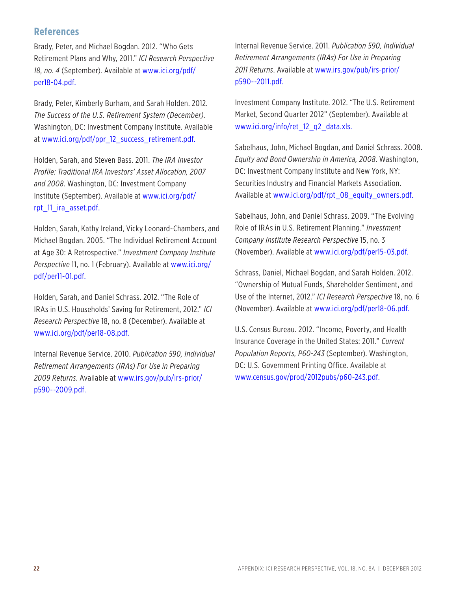#### **References**

Brady, Peter, and Michael Bogdan. 2012. "Who Gets Retirement Plans and Why, 2011." *ICI Research Perspective 18, no. 4* (September). Available at www.ici.org/pdf/ per18-04.pdf.

Brady, Peter, Kimberly Burham, and Sarah Holden. 2012. *The Success of the U.S. Retirement System (December)*. Washington, DC: Investment Company Institute. Available at www.ici.org/pdf/ppr\_12\_success\_retirement.pdf.

Holden, Sarah, and Steven Bass. 2011. *The IRA Investor Profile: Traditional IRA Investors' Asset Allocation, 2007 and 2008*. Washington, DC: Investment Company Institute (September). Available at www.ici.org/pdf/ rpt\_11\_ira\_asset.pdf.

Holden, Sarah, Kathy Ireland, Vicky Leonard-Chambers, and Michael Bogdan. 2005. "The Individual Retirement Account at Age 30: A Retrospective." *Investment Company Institute Perspective* 11, no. 1 (February). Available at www.ici.org/ pdf/per11-01.pdf.

Holden, Sarah, and Daniel Schrass. 2012. "The Role of IRAs in U.S. Households' Saving for Retirement, 2012." *ICI Research Perspective* 18, no. 8 (December). Available at www.ici.org/pdf/per18-08.pdf.

Internal Revenue Service. 2010. *Publication 590, Individual Retirement Arrangements (IRAs) For Use in Preparing 2009 Returns*. Available at www.irs.gov/pub/irs-prior/ p590--2009.pdf.

Internal Revenue Service. 2011. *Publication 590, Individual Retirement Arrangements (IRAs) For Use in Preparing 2011 Returns*. Available at www.irs.gov/pub/irs-prior/ p590--2011.pdf.

Investment Company Institute. 2012. "The U.S. Retirement Market, Second Quarter 2012" (September). Available at www.ici.org/info/ret\_12\_q2\_data.xls.

Sabelhaus, John, Michael Bogdan, and Daniel Schrass. 2008. *Equity and Bond Ownership in America, 2008*. Washington, DC: Investment Company Institute and New York, NY: Securities Industry and Financial Markets Association. Available at www.ici.org/pdf/rpt\_08\_equity\_owners.pdf.

Sabelhaus, John, and Daniel Schrass. 2009. "The Evolving Role of IRAs in U.S. Retirement Planning." *Investment Company Institute Research Perspective* 15, no. 3 (November). Available at www.ici.org/pdf/per15-03.pdf.

Schrass, Daniel, Michael Bogdan, and Sarah Holden. 2012. "Ownership of Mutual Funds, Shareholder Sentiment, and Use of the Internet, 2012." *ICI Research Perspective* 18, no. 6 (November). Available at www.ici.org/pdf/per18-06.pdf.

U.S. Census Bureau. 2012. "Income, Poverty, and Health Insurance Coverage in the United States: 2011." *Current Population Reports, P60-243* (September). Washington, DC: U.S. Government Printing Office. Available at www.census.gov/prod/2012pubs/p60-243.pdf.